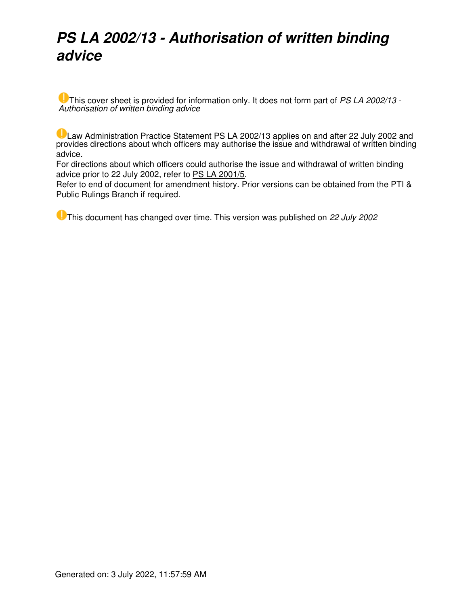# *PS LA 2002/13 - Authorisation of written binding advice*

This cover sheet is provided for information only. It does not form part of *PS LA 2002/13 - Authorisation of written binding advice*

Law Administration Practice Statement PS LA 2002/13 applies on and after 22 July 2002 and provides directions about whch officers may authorise the issue and withdrawal of written binding advice.

For directions about which officers could authorise the issue and withdrawal of written binding advice prior to 22 July 2002, refer to [PS LA 2001/5.](https://www.ato.gov.au/law/view/document?LocID=PSR/PS20015/NAT/ATO)

Refer to end of document for amendment history. Prior versions can be obtained from the PTI & Public Rulings Branch if required.

This document has changed over time. This version was published on *22 July 2002*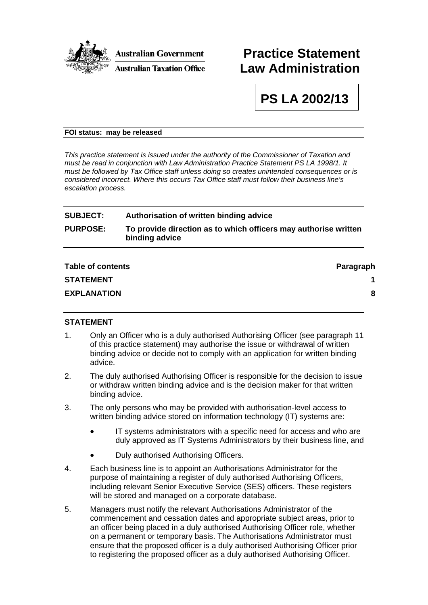

## **Practice Statement Law Administration**

**PS LA 2002/13** 

#### **FOI status: may be released**

*This practice statement is issued under the authority of the Commissioner of Taxation and must be read in conjunction with Law Administration Practice Statement PS LA 1998/1. It must be followed by Tax Office staff unless doing so creates unintended consequences or is considered incorrect. Where this occurs Tax Office staff must follow their business line's escalation process.* 

### **SUBJECT: Authorisation of written binding advice PURPOSE: To provide direction as to which officers may authorise written binding advice**

| <b>Table of contents</b> | Paragraph |
|--------------------------|-----------|
| <b>STATEMENT</b>         |           |
| <b>EXPLANATION</b>       | 8         |
|                          |           |

#### **STATEMENT**

- 1. Only an Officer who is a duly authorised Authorising Officer (see paragraph 11 of this practice statement) may authorise the issue or withdrawal of written binding advice or decide not to comply with an application for written binding advice.
- 2. The duly authorised Authorising Officer is responsible for the decision to issue or withdraw written binding advice and is the decision maker for that written binding advice.
- 3. The only persons who may be provided with authorisation-level access to written binding advice stored on information technology (IT) systems are:
	- IT systems administrators with a specific need for access and who are duly approved as IT Systems Administrators by their business line, and
	- Duly authorised Authorising Officers.
- 4. Each business line is to appoint an Authorisations Administrator for the purpose of maintaining a register of duly authorised Authorising Officers, including relevant Senior Executive Service (SES) officers. These registers will be stored and managed on a corporate database.
- 5. Managers must notify the relevant Authorisations Administrator of the commencement and cessation dates and appropriate subject areas, prior to an officer being placed in a duly authorised Authorising Officer role, whether on a permanent or temporary basis. The Authorisations Administrator must ensure that the proposed officer is a duly authorised Authorising Officer prior to registering the proposed officer as a duly authorised Authorising Officer.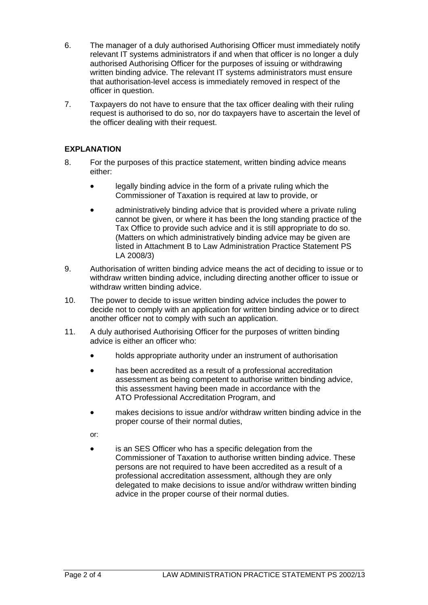- 6. The manager of a duly authorised Authorising Officer must immediately notify relevant IT systems administrators if and when that officer is no longer a duly authorised Authorising Officer for the purposes of issuing or withdrawing written binding advice. The relevant IT systems administrators must ensure that authorisation-level access is immediately removed in respect of the officer in question.
- 7. Taxpayers do not have to ensure that the tax officer dealing with their ruling request is authorised to do so, nor do taxpayers have to ascertain the level of the officer dealing with their request.

### **EXPLANATION**

- 8. For the purposes of this practice statement, written binding advice means either:
	- legally binding advice in the form of a private ruling which the Commissioner of Taxation is required at law to provide, or
	- administratively binding advice that is provided where a private ruling cannot be given, or where it has been the long standing practice of the Tax Office to provide such advice and it is still appropriate to do so. (Matters on which administratively binding advice may be given are listed in Attachment B to Law Administration Practice Statement PS LA 2008/3)
- 9. Authorisation of written binding advice means the act of deciding to issue or to withdraw written binding advice, including directing another officer to issue or withdraw written binding advice.
- 10. The power to decide to issue written binding advice includes the power to decide not to comply with an application for written binding advice or to direct another officer not to comply with such an application.
- 11. A duly authorised Authorising Officer for the purposes of written binding advice is either an officer who:
	- holds appropriate authority under an instrument of authorisation
	- has been accredited as a result of a professional accreditation assessment as being competent to authorise written binding advice, this assessment having been made in accordance with the ATO Professional Accreditation Program, and
	- makes decisions to issue and/or withdraw written binding advice in the proper course of their normal duties,

or:

is an SES Officer who has a specific delegation from the Commissioner of Taxation to authorise written binding advice. These persons are not required to have been accredited as a result of a professional accreditation assessment, although they are only delegated to make decisions to issue and/or withdraw written binding advice in the proper course of their normal duties.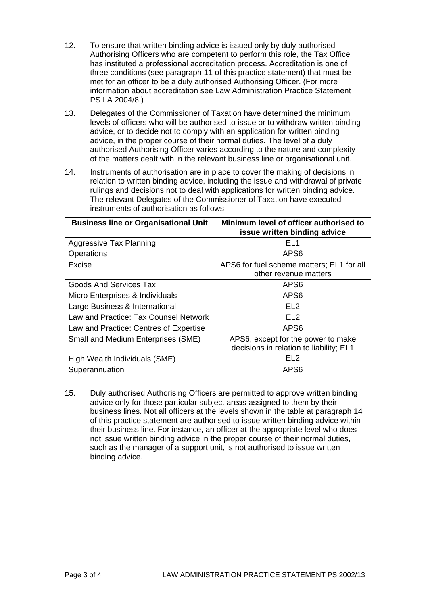- 12. To ensure that written binding advice is issued only by duly authorised Authorising Officers who are competent to perform this role, the Tax Office has instituted a professional accreditation process. Accreditation is one of three conditions (see paragraph 11 of this practice statement) that must be met for an officer to be a duly authorised Authorising Officer. (For more information about accreditation see Law Administration Practice Statement PS LA 2004/8.)
- 13. Delegates of the Commissioner of Taxation have determined the minimum levels of officers who will be authorised to issue or to withdraw written binding advice, or to decide not to comply with an application for written binding advice, in the proper course of their normal duties. The level of a duly authorised Authorising Officer varies according to the nature and complexity of the matters dealt with in the relevant business line or organisational unit.
- 14. Instruments of authorisation are in place to cover the making of decisions in relation to written binding advice, including the issue and withdrawal of private rulings and decisions not to deal with applications for written binding advice. The relevant Delegates of the Commissioner of Taxation have executed instruments of authorisation as follows:

| <b>Business line or Organisational Unit</b> | Minimum level of officer authorised to<br>issue written binding advice        |
|---------------------------------------------|-------------------------------------------------------------------------------|
| Aggressive Tax Planning                     | EL1                                                                           |
| Operations                                  | APS <sub>6</sub>                                                              |
| Excise                                      | APS6 for fuel scheme matters; EL1 for all<br>other revenue matters            |
| Goods And Services Tax                      | APS <sub>6</sub>                                                              |
| Micro Enterprises & Individuals             | APS <sub>6</sub>                                                              |
| Large Business & International              | EL <sub>2</sub>                                                               |
| Law and Practice: Tax Counsel Network       | EL <sub>2</sub>                                                               |
| Law and Practice: Centres of Expertise      | APS <sub>6</sub>                                                              |
| Small and Medium Enterprises (SME)          | APS6, except for the power to make<br>decisions in relation to liability; EL1 |
| High Wealth Individuals (SME)               | FI 2                                                                          |
| Superannuation                              | APS <sub>6</sub>                                                              |

15. Duly authorised Authorising Officers are permitted to approve written binding advice only for those particular subject areas assigned to them by their business lines. Not all officers at the levels shown in the table at paragraph 14 of this practice statement are authorised to issue written binding advice within their business line. For instance, an officer at the appropriate level who does not issue written binding advice in the proper course of their normal duties, such as the manager of a support unit, is not authorised to issue written binding advice.